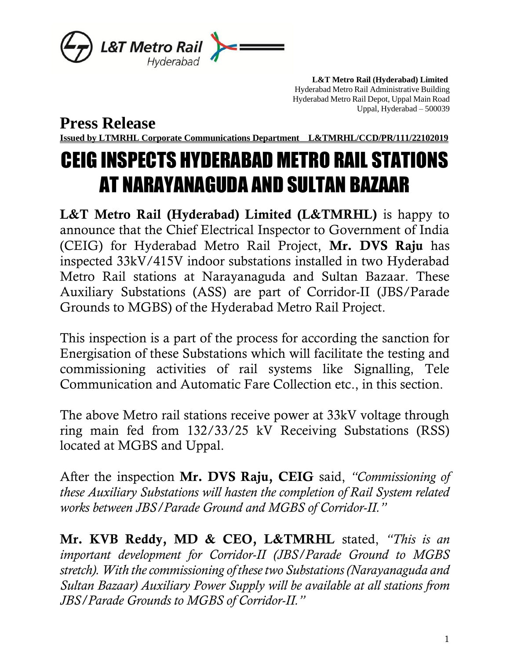

 **L&T Metro Rail (Hyderabad) Limited** Hyderabad Metro Rail Administrative Building Hyderabad Metro Rail Depot, Uppal Main Road Uppal, Hyderabad – 500039

**Press Release**

**Issued by LTMRHL Corporate Communications Department L&TMRHL/CCD/PR/111/22102019**

## CEIG INSPECTS HYDERABAD METRO RAIL STATIONS AT NARAYANAGUDA AND SULTAN BAZAAR

L&T Metro Rail (Hyderabad) Limited (L&TMRHL) is happy to announce that the Chief Electrical Inspector to Government of India (CEIG) for Hyderabad Metro Rail Project, Mr. DVS Raju has inspected 33kV/415V indoor substations installed in two Hyderabad Metro Rail stations at Narayanaguda and Sultan Bazaar. These Auxiliary Substations (ASS) are part of Corridor-II (JBS/Parade Grounds to MGBS) of the Hyderabad Metro Rail Project.

This inspection is a part of the process for according the sanction for Energisation of these Substations which will facilitate the testing and commissioning activities of rail systems like Signalling, Tele Communication and Automatic Fare Collection etc., in this section.

The above Metro rail stations receive power at 33kV voltage through ring main fed from 132/33/25 kV Receiving Substations (RSS) located at MGBS and Uppal.

After the inspection Mr. DVS Raju, CEIG said, *"Commissioning of these Auxiliary Substations will hasten the completion of Rail System related works between JBS/Parade Ground and MGBS of Corridor-II."*

Mr. KVB Reddy, MD & CEO, L&TMRHL stated, *"This is an important development for Corridor-II (JBS/Parade Ground to MGBS stretch). With the commissioning of these two Substations (Narayanaguda and Sultan Bazaar) Auxiliary Power Supply will be available at all stations from JBS/Parade Grounds to MGBS of Corridor-II."*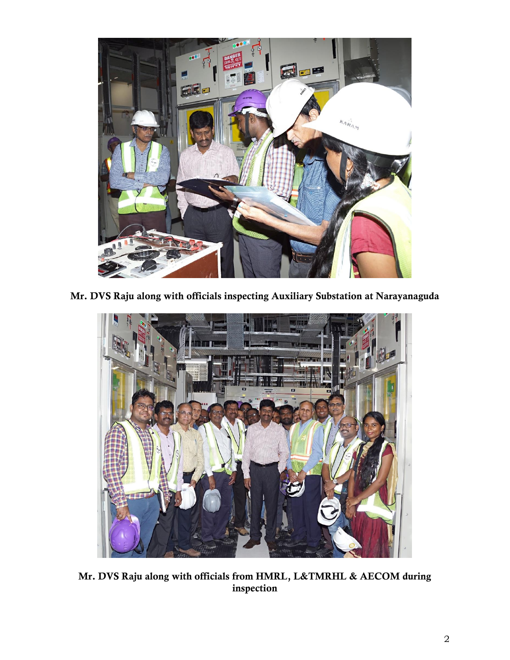

Mr. DVS Raju along with officials inspecting Auxiliary Substation at Narayanaguda



Mr. DVS Raju along with officials from HMRL, L&TMRHL & AECOM during inspection